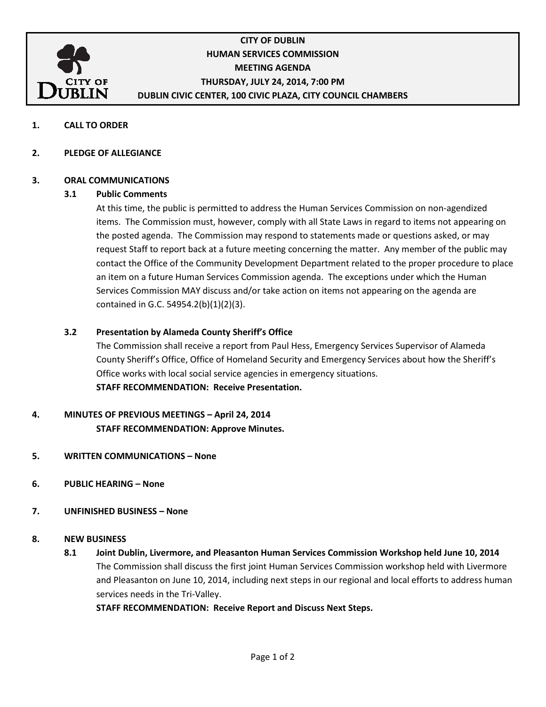

# CITY OF DUBLIN HUMAN SERVICES COMMISSION MEETING AGENDA THURSDAY, JULY 24, 2014, 7:00 PM DUBLIN CIVIC CENTER, 100 CIVIC PLAZA, CITY COUNCIL CHAMBERS

1. CALL TO ORDER

#### 2. PLEDGE OF ALLEGIANCE

#### 3. ORAL COMMUNICATIONS

#### 3.1 Public Comments

At this time, the public is permitted to address the Human Services Commission on non-agendized items. The Commission must, however, comply with all State Laws in regard to items not appearing on the posted agenda. The Commission may respond to statements made or questions asked, or may request Staff to report back at a future meeting concerning the matter. Any member of the public may contact the Office of the Community Development Department related to the proper procedure to place an item on a future Human Services Commission agenda. The exceptions under which the Human Services Commission MAY discuss and/or take action on items not appearing on the agenda are contained in G.C. 54954.2(b)(1)(2)(3).

#### 3.2 Presentation by Alameda County Sheriff's Office

The Commission shall receive a report from Paul Hess, Emergency Services Supervisor of Alameda County Sheriff's Office, Office of Homeland Security and Emergency Services about how the Sheriff's Office works with local social service agencies in emergency situations. STAFF RECOMMENDATION: Receive Presentation.

# 4. MINUTES OF PREVIOUS MEETINGS – April 24, 2014 STAFF RECOMMENDATION: Approve Minutes.

- 5. WRITTEN COMMUNICATIONS None
- 6. PUBLIC HEARING None
- 7. UNFINISHED BUSINESS None

#### 8. NEW BUSINESS

 8.1 Joint Dublin, Livermore, and Pleasanton Human Services Commission Workshop held June 10, 2014 The Commission shall discuss the first joint Human Services Commission workshop held with Livermore and Pleasanton on June 10, 2014, including next steps in our regional and local efforts to address human services needs in the Tri-Valley.

STAFF RECOMMENDATION: Receive Report and Discuss Next Steps.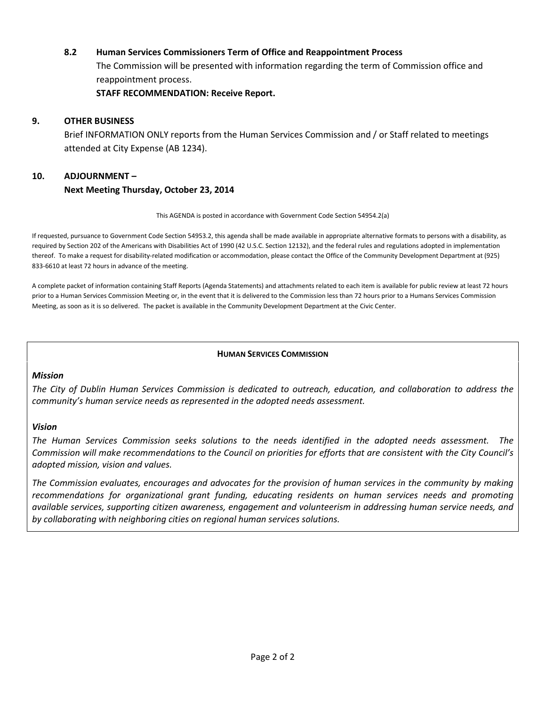#### 8.2 Human Services Commissioners Term of Office and Reappointment Process

The Commission will be presented with information regarding the term of Commission office and reappointment process.

STAFF RECOMMENDATION: Receive Report.

#### 9. OTHER BUSINESS

Brief INFORMATION ONLY reports from the Human Services Commission and / or Staff related to meetings attended at City Expense (AB 1234).

# 10. ADJOURNMENT – Next Meeting Thursday, October 23, 2014

This AGENDA is posted in accordance with Government Code Section 54954.2(a)

If requested, pursuance to Government Code Section 54953.2, this agenda shall be made available in appropriate alternative formats to persons with a disability, as required by Section 202 of the Americans with Disabilities Act of 1990 (42 U.S.C. Section 12132), and the federal rules and regulations adopted in implementation thereof. To make a request for disability-related modification or accommodation, please contact the Office of the Community Development Department at (925) 833-6610 at least 72 hours in advance of the meeting.

A complete packet of information containing Staff Reports (Agenda Statements) and attachments related to each item is available for public review at least 72 hours prior to a Human Services Commission Meeting or, in the event that it is delivered to the Commission less than 72 hours prior to a Humans Services Commission Meeting, as soon as it is so delivered. The packet is available in the Community Development Department at the Civic Center.

#### HUMAN SERVICES COMMISSION

#### Mission

The City of Dublin Human Services Commission is dedicated to outreach, education, and collaboration to address the community's human service needs as represented in the adopted needs assessment.

#### Vision

The Human Services Commission seeks solutions to the needs identified in the adopted needs assessment. The Commission will make recommendations to the Council on priorities for efforts that are consistent with the City Council's adopted mission, vision and values.

The Commission evaluates, encourages and advocates for the provision of human services in the community by making recommendations for organizational grant funding, educating residents on human services needs and promoting available services, supporting citizen awareness, engagement and volunteerism in addressing human service needs, and by collaborating with neighboring cities on regional human services solutions.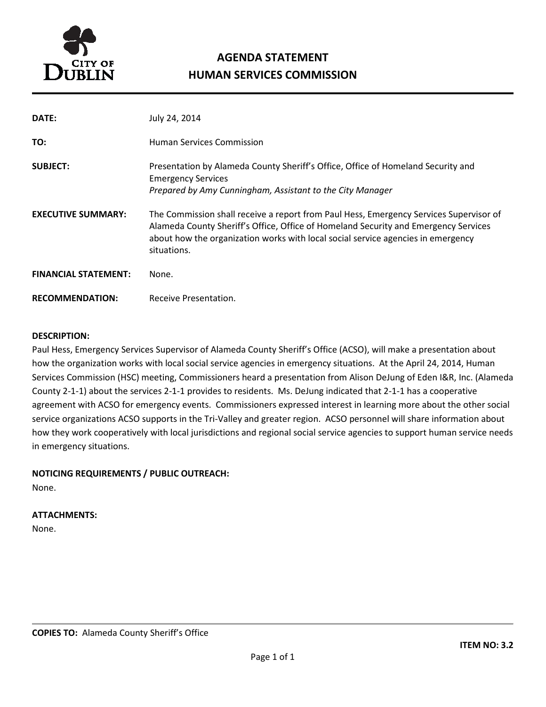

# AGENDA STATEMENT HUMAN SERVICES COMMISSION

| DATE:                       | July 24, 2014                                                                                                                                                                                                                                                                    |
|-----------------------------|----------------------------------------------------------------------------------------------------------------------------------------------------------------------------------------------------------------------------------------------------------------------------------|
| TO:                         | <b>Human Services Commission</b>                                                                                                                                                                                                                                                 |
| <b>SUBJECT:</b>             | Presentation by Alameda County Sheriff's Office, Office of Homeland Security and<br><b>Emergency Services</b><br>Prepared by Amy Cunningham, Assistant to the City Manager                                                                                                       |
| <b>EXECUTIVE SUMMARY:</b>   | The Commission shall receive a report from Paul Hess, Emergency Services Supervisor of<br>Alameda County Sheriff's Office, Office of Homeland Security and Emergency Services<br>about how the organization works with local social service agencies in emergency<br>situations. |
| <b>FINANCIAL STATEMENT:</b> | None.                                                                                                                                                                                                                                                                            |
| <b>RECOMMENDATION:</b>      | Receive Presentation.                                                                                                                                                                                                                                                            |

#### DESCRIPTION:

Paul Hess, Emergency Services Supervisor of Alameda County Sheriff's Office (ACSO), will make a presentation about how the organization works with local social service agencies in emergency situations. At the April 24, 2014, Human Services Commission (HSC) meeting, Commissioners heard a presentation from Alison DeJung of Eden I&R, Inc. (Alameda County 2-1-1) about the services 2-1-1 provides to residents. Ms. DeJung indicated that 2-1-1 has a cooperative agreement with ACSO for emergency events. Commissioners expressed interest in learning more about the other social service organizations ACSO supports in the Tri-Valley and greater region. ACSO personnel will share information about how they work cooperatively with local jurisdictions and regional social service agencies to support human service needs in emergency situations.

#### NOTICING REQUIREMENTS / PUBLIC OUTREACH:

None.

#### ATTACHMENTS:

None.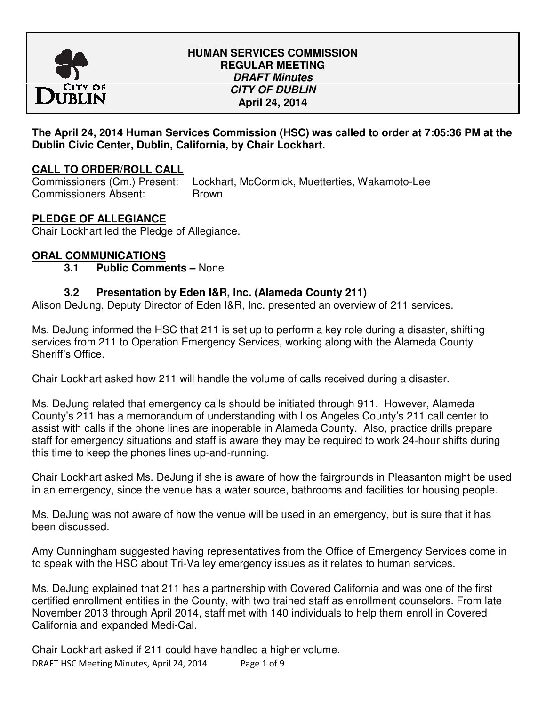

## **HUMAN SERVICES COMMISSION REGULAR MEETING DRAFT Minutes CITY OF DUBLIN April 24, 2014**

# **The April 24, 2014 Human Services Commission (HSC) was called to order at 7:05:36 PM at the Dublin Civic Center, Dublin, California, by Chair Lockhart.**

# **CALL TO ORDER/ROLL CALL**

Commissioners (Cm.) Present: Lockhart, McCormick, Muetterties, Wakamoto-Lee Commissioners Absent: Brown

# **PLEDGE OF ALLEGIANCE**

Chair Lockhart led the Pledge of Allegiance.

# **ORAL COMMUNICATIONS**

 **3.1 Public Comments –** None

# **3.2 Presentation by Eden I&R, Inc. (Alameda County 211)**

Alison DeJung, Deputy Director of Eden I&R, Inc. presented an overview of 211 services.

Ms. DeJung informed the HSC that 211 is set up to perform a key role during a disaster, shifting services from 211 to Operation Emergency Services, working along with the Alameda County Sheriff's Office.

Chair Lockhart asked how 211 will handle the volume of calls received during a disaster.

Ms. DeJung related that emergency calls should be initiated through 911. However, Alameda County's 211 has a memorandum of understanding with Los Angeles County's 211 call center to assist with calls if the phone lines are inoperable in Alameda County. Also, practice drills prepare staff for emergency situations and staff is aware they may be required to work 24-hour shifts during this time to keep the phones lines up-and-running.

Chair Lockhart asked Ms. DeJung if she is aware of how the fairgrounds in Pleasanton might be used in an emergency, since the venue has a water source, bathrooms and facilities for housing people.

Ms. DeJung was not aware of how the venue will be used in an emergency, but is sure that it has been discussed.

Amy Cunningham suggested having representatives from the Office of Emergency Services come in to speak with the HSC about Tri-Valley emergency issues as it relates to human services.

Ms. DeJung explained that 211 has a partnership with Covered California and was one of the first certified enrollment entities in the County, with two trained staff as enrollment counselors. From late November 2013 through April 2014, staff met with 140 individuals to help them enroll in Covered California and expanded Medi-Cal.

DRAFT HSC Meeting Minutes, April 24, 2014 Page 1 of 9 Chair Lockhart asked if 211 could have handled a higher volume.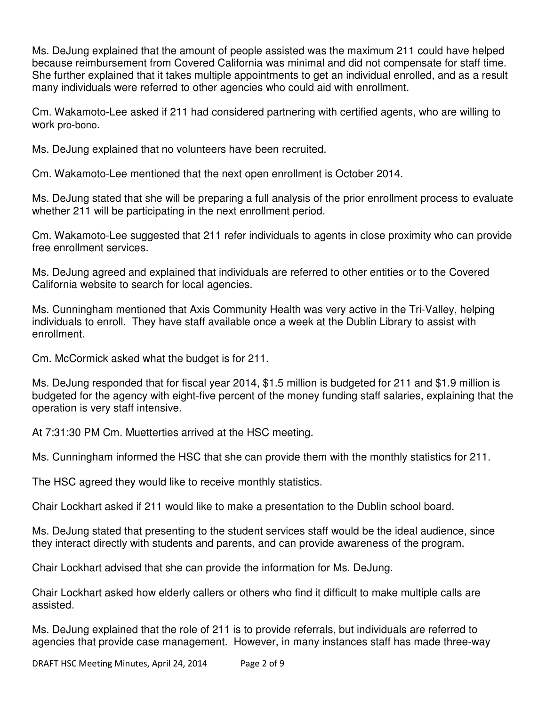Ms. DeJung explained that the amount of people assisted was the maximum 211 could have helped because reimbursement from Covered California was minimal and did not compensate for staff time. She further explained that it takes multiple appointments to get an individual enrolled, and as a result many individuals were referred to other agencies who could aid with enrollment.

Cm. Wakamoto-Lee asked if 211 had considered partnering with certified agents, who are willing to work pro-bono.

Ms. DeJung explained that no volunteers have been recruited.

Cm. Wakamoto-Lee mentioned that the next open enrollment is October 2014.

Ms. DeJung stated that she will be preparing a full analysis of the prior enrollment process to evaluate whether 211 will be participating in the next enrollment period.

Cm. Wakamoto-Lee suggested that 211 refer individuals to agents in close proximity who can provide free enrollment services.

Ms. DeJung agreed and explained that individuals are referred to other entities or to the Covered California website to search for local agencies.

Ms. Cunningham mentioned that Axis Community Health was very active in the Tri-Valley, helping individuals to enroll. They have staff available once a week at the Dublin Library to assist with enrollment.

Cm. McCormick asked what the budget is for 211.

Ms. DeJung responded that for fiscal year 2014, \$1.5 million is budgeted for 211 and \$1.9 million is budgeted for the agency with eight-five percent of the money funding staff salaries, explaining that the operation is very staff intensive.

At 7:31:30 PM Cm. Muetterties arrived at the HSC meeting.

Ms. Cunningham informed the HSC that she can provide them with the monthly statistics for 211.

The HSC agreed they would like to receive monthly statistics.

Chair Lockhart asked if 211 would like to make a presentation to the Dublin school board.

Ms. DeJung stated that presenting to the student services staff would be the ideal audience, since they interact directly with students and parents, and can provide awareness of the program.

Chair Lockhart advised that she can provide the information for Ms. DeJung.

Chair Lockhart asked how elderly callers or others who find it difficult to make multiple calls are assisted.

Ms. DeJung explained that the role of 211 is to provide referrals, but individuals are referred to agencies that provide case management. However, in many instances staff has made three-way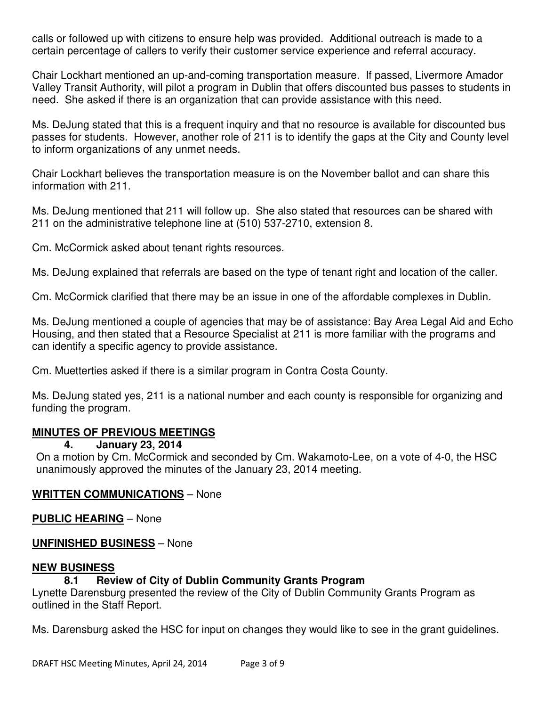calls or followed up with citizens to ensure help was provided. Additional outreach is made to a certain percentage of callers to verify their customer service experience and referral accuracy.

Chair Lockhart mentioned an up-and-coming transportation measure. If passed, Livermore Amador Valley Transit Authority, will pilot a program in Dublin that offers discounted bus passes to students in need. She asked if there is an organization that can provide assistance with this need.

Ms. DeJung stated that this is a frequent inquiry and that no resource is available for discounted bus passes for students. However, another role of 211 is to identify the gaps at the City and County level to inform organizations of any unmet needs.

Chair Lockhart believes the transportation measure is on the November ballot and can share this information with 211.

Ms. DeJung mentioned that 211 will follow up. She also stated that resources can be shared with 211 on the administrative telephone line at (510) 537-2710, extension 8.

Cm. McCormick asked about tenant rights resources.

Ms. DeJung explained that referrals are based on the type of tenant right and location of the caller.

Cm. McCormick clarified that there may be an issue in one of the affordable complexes in Dublin.

Ms. DeJung mentioned a couple of agencies that may be of assistance: Bay Area Legal Aid and Echo Housing, and then stated that a Resource Specialist at 211 is more familiar with the programs and can identify a specific agency to provide assistance.

Cm. Muetterties asked if there is a similar program in Contra Costa County.

Ms. DeJung stated yes, 211 is a national number and each county is responsible for organizing and funding the program.

# **MINUTES OF PREVIOUS MEETINGS**

**4. January 23, 2014** 

On a motion by Cm. McCormick and seconded by Cm. Wakamoto-Lee, on a vote of 4-0, the HSC unanimously approved the minutes of the January 23, 2014 meeting.

# **WRITTEN COMMUNICATIONS** – None

**PUBLIC HEARING** – None

# **UNFINISHED BUSINESS** – None

# **NEW BUSINESS**

# **8.1 Review of City of Dublin Community Grants Program**

Lynette Darensburg presented the review of the City of Dublin Community Grants Program as outlined in the Staff Report.

Ms. Darensburg asked the HSC for input on changes they would like to see in the grant guidelines.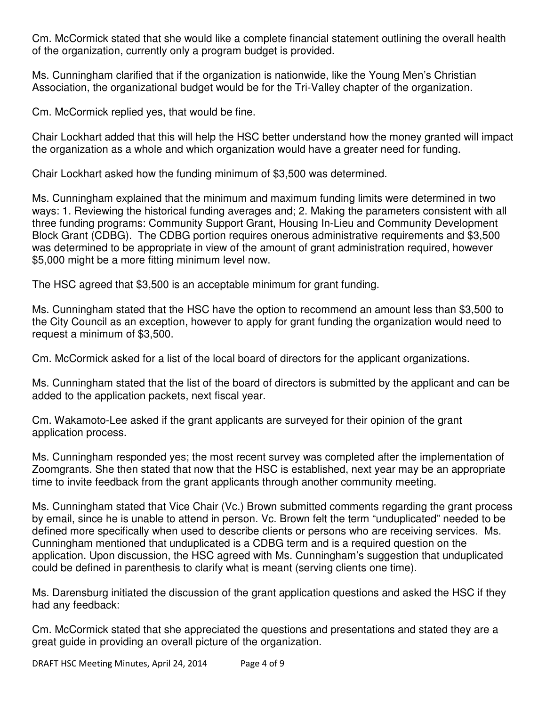Cm. McCormick stated that she would like a complete financial statement outlining the overall health of the organization, currently only a program budget is provided.

Ms. Cunningham clarified that if the organization is nationwide, like the Young Men's Christian Association, the organizational budget would be for the Tri-Valley chapter of the organization.

Cm. McCormick replied yes, that would be fine.

Chair Lockhart added that this will help the HSC better understand how the money granted will impact the organization as a whole and which organization would have a greater need for funding.

Chair Lockhart asked how the funding minimum of \$3,500 was determined.

Ms. Cunningham explained that the minimum and maximum funding limits were determined in two ways: 1. Reviewing the historical funding averages and; 2. Making the parameters consistent with all three funding programs: Community Support Grant, Housing In-Lieu and Community Development Block Grant (CDBG). The CDBG portion requires onerous administrative requirements and \$3,500 was determined to be appropriate in view of the amount of grant administration required, however \$5,000 might be a more fitting minimum level now.

The HSC agreed that \$3,500 is an acceptable minimum for grant funding.

Ms. Cunningham stated that the HSC have the option to recommend an amount less than \$3,500 to the City Council as an exception, however to apply for grant funding the organization would need to request a minimum of \$3,500.

Cm. McCormick asked for a list of the local board of directors for the applicant organizations.

Ms. Cunningham stated that the list of the board of directors is submitted by the applicant and can be added to the application packets, next fiscal year.

Cm. Wakamoto-Lee asked if the grant applicants are surveyed for their opinion of the grant application process.

Ms. Cunningham responded yes; the most recent survey was completed after the implementation of Zoomgrants. She then stated that now that the HSC is established, next year may be an appropriate time to invite feedback from the grant applicants through another community meeting.

Ms. Cunningham stated that Vice Chair (Vc.) Brown submitted comments regarding the grant process by email, since he is unable to attend in person. Vc. Brown felt the term "unduplicated" needed to be defined more specifically when used to describe clients or persons who are receiving services. Ms. Cunningham mentioned that unduplicated is a CDBG term and is a required question on the application. Upon discussion, the HSC agreed with Ms. Cunningham's suggestion that unduplicated could be defined in parenthesis to clarify what is meant (serving clients one time).

Ms. Darensburg initiated the discussion of the grant application questions and asked the HSC if they had any feedback:

Cm. McCormick stated that she appreciated the questions and presentations and stated they are a great guide in providing an overall picture of the organization.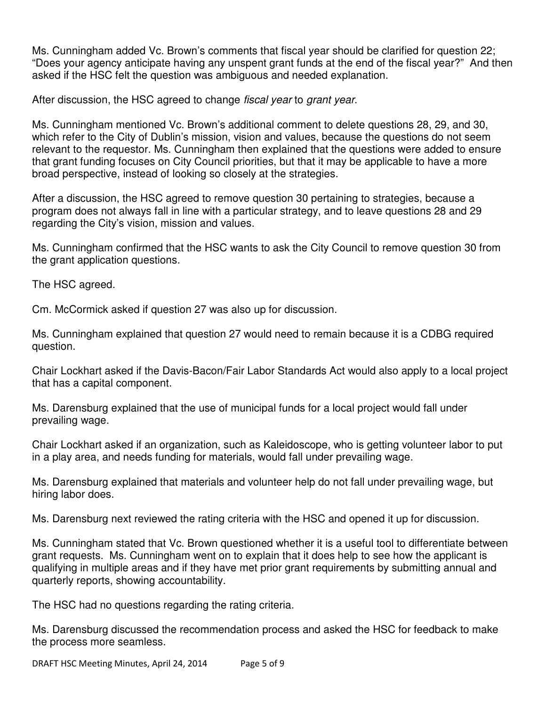Ms. Cunningham added Vc. Brown's comments that fiscal year should be clarified for question 22; "Does your agency anticipate having any unspent grant funds at the end of the fiscal year?" And then asked if the HSC felt the question was ambiguous and needed explanation.

After discussion, the HSC agreed to change *fiscal year* to *grant year*.

Ms. Cunningham mentioned Vc. Brown's additional comment to delete questions 28, 29, and 30, which refer to the City of Dublin's mission, vision and values, because the questions do not seem relevant to the requestor. Ms. Cunningham then explained that the questions were added to ensure that grant funding focuses on City Council priorities, but that it may be applicable to have a more broad perspective, instead of looking so closely at the strategies.

After a discussion, the HSC agreed to remove question 30 pertaining to strategies, because a program does not always fall in line with a particular strategy, and to leave questions 28 and 29 regarding the City's vision, mission and values.

Ms. Cunningham confirmed that the HSC wants to ask the City Council to remove question 30 from the grant application questions.

The HSC agreed.

Cm. McCormick asked if question 27 was also up for discussion.

Ms. Cunningham explained that question 27 would need to remain because it is a CDBG required question.

Chair Lockhart asked if the Davis-Bacon/Fair Labor Standards Act would also apply to a local project that has a capital component.

Ms. Darensburg explained that the use of municipal funds for a local project would fall under prevailing wage.

Chair Lockhart asked if an organization, such as Kaleidoscope, who is getting volunteer labor to put in a play area, and needs funding for materials, would fall under prevailing wage.

Ms. Darensburg explained that materials and volunteer help do not fall under prevailing wage, but hiring labor does.

Ms. Darensburg next reviewed the rating criteria with the HSC and opened it up for discussion.

Ms. Cunningham stated that Vc. Brown questioned whether it is a useful tool to differentiate between grant requests. Ms. Cunningham went on to explain that it does help to see how the applicant is qualifying in multiple areas and if they have met prior grant requirements by submitting annual and quarterly reports, showing accountability.

The HSC had no questions regarding the rating criteria.

Ms. Darensburg discussed the recommendation process and asked the HSC for feedback to make the process more seamless.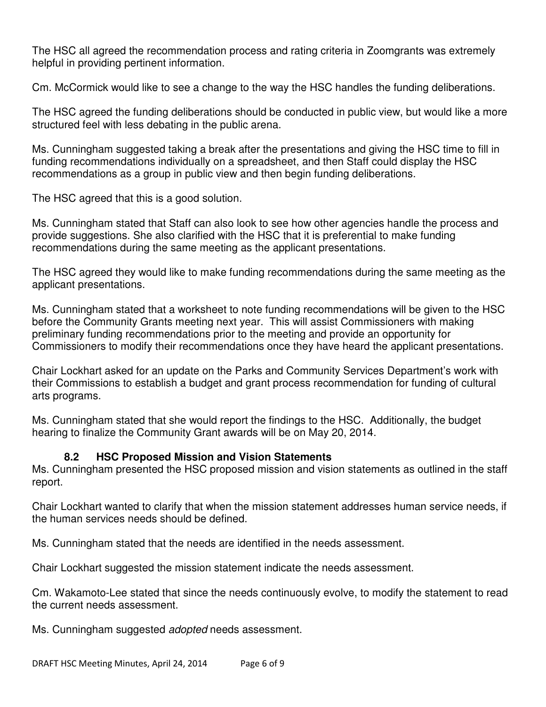The HSC all agreed the recommendation process and rating criteria in Zoomgrants was extremely helpful in providing pertinent information.

Cm. McCormick would like to see a change to the way the HSC handles the funding deliberations.

The HSC agreed the funding deliberations should be conducted in public view, but would like a more structured feel with less debating in the public arena.

Ms. Cunningham suggested taking a break after the presentations and giving the HSC time to fill in funding recommendations individually on a spreadsheet, and then Staff could display the HSC recommendations as a group in public view and then begin funding deliberations.

The HSC agreed that this is a good solution.

Ms. Cunningham stated that Staff can also look to see how other agencies handle the process and provide suggestions. She also clarified with the HSC that it is preferential to make funding recommendations during the same meeting as the applicant presentations.

The HSC agreed they would like to make funding recommendations during the same meeting as the applicant presentations.

Ms. Cunningham stated that a worksheet to note funding recommendations will be given to the HSC before the Community Grants meeting next year. This will assist Commissioners with making preliminary funding recommendations prior to the meeting and provide an opportunity for Commissioners to modify their recommendations once they have heard the applicant presentations.

Chair Lockhart asked for an update on the Parks and Community Services Department's work with their Commissions to establish a budget and grant process recommendation for funding of cultural arts programs.

Ms. Cunningham stated that she would report the findings to the HSC. Additionally, the budget hearing to finalize the Community Grant awards will be on May 20, 2014.

# **8.2 HSC Proposed Mission and Vision Statements**

Ms. Cunningham presented the HSC proposed mission and vision statements as outlined in the staff report.

Chair Lockhart wanted to clarify that when the mission statement addresses human service needs, if the human services needs should be defined.

Ms. Cunningham stated that the needs are identified in the needs assessment.

Chair Lockhart suggested the mission statement indicate the needs assessment.

Cm. Wakamoto-Lee stated that since the needs continuously evolve, to modify the statement to read the current needs assessment.

Ms. Cunningham suggested *adopted* needs assessment.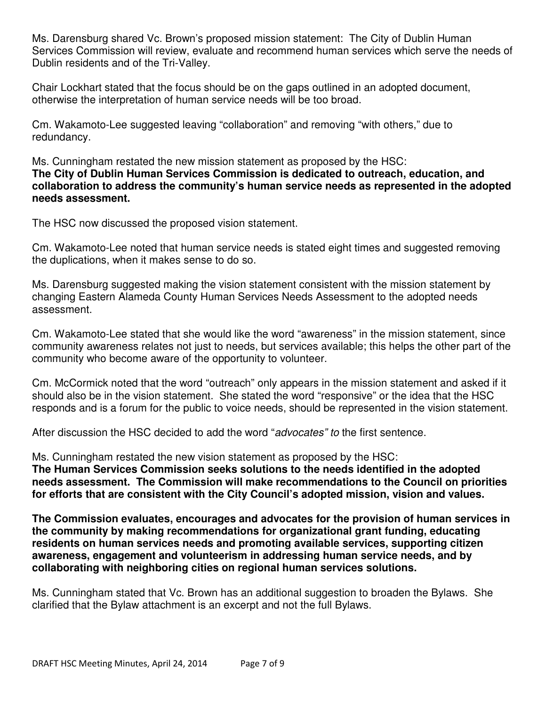Ms. Darensburg shared Vc. Brown's proposed mission statement: The City of Dublin Human Services Commission will review, evaluate and recommend human services which serve the needs of Dublin residents and of the Tri-Valley.

Chair Lockhart stated that the focus should be on the gaps outlined in an adopted document, otherwise the interpretation of human service needs will be too broad.

Cm. Wakamoto-Lee suggested leaving "collaboration" and removing "with others," due to redundancy.

Ms. Cunningham restated the new mission statement as proposed by the HSC: **The City of Dublin Human Services Commission is dedicated to outreach, education, and collaboration to address the community's human service needs as represented in the adopted needs assessment.** 

The HSC now discussed the proposed vision statement.

Cm. Wakamoto-Lee noted that human service needs is stated eight times and suggested removing the duplications, when it makes sense to do so.

Ms. Darensburg suggested making the vision statement consistent with the mission statement by changing Eastern Alameda County Human Services Needs Assessment to the adopted needs assessment.

Cm. Wakamoto-Lee stated that she would like the word "awareness" in the mission statement, since community awareness relates not just to needs, but services available; this helps the other part of the community who become aware of the opportunity to volunteer.

Cm. McCormick noted that the word "outreach" only appears in the mission statement and asked if it should also be in the vision statement. She stated the word "responsive" or the idea that the HSC responds and is a forum for the public to voice needs, should be represented in the vision statement.

After discussion the HSC decided to add the word "advocates" to the first sentence.

Ms. Cunningham restated the new vision statement as proposed by the HSC: **The Human Services Commission seeks solutions to the needs identified in the adopted needs assessment. The Commission will make recommendations to the Council on priorities for efforts that are consistent with the City Council's adopted mission, vision and values.** 

**The Commission evaluates, encourages and advocates for the provision of human services in the community by making recommendations for organizational grant funding, educating residents on human services needs and promoting available services, supporting citizen awareness, engagement and volunteerism in addressing human service needs, and by collaborating with neighboring cities on regional human services solutions.** 

Ms. Cunningham stated that Vc. Brown has an additional suggestion to broaden the Bylaws. She clarified that the Bylaw attachment is an excerpt and not the full Bylaws.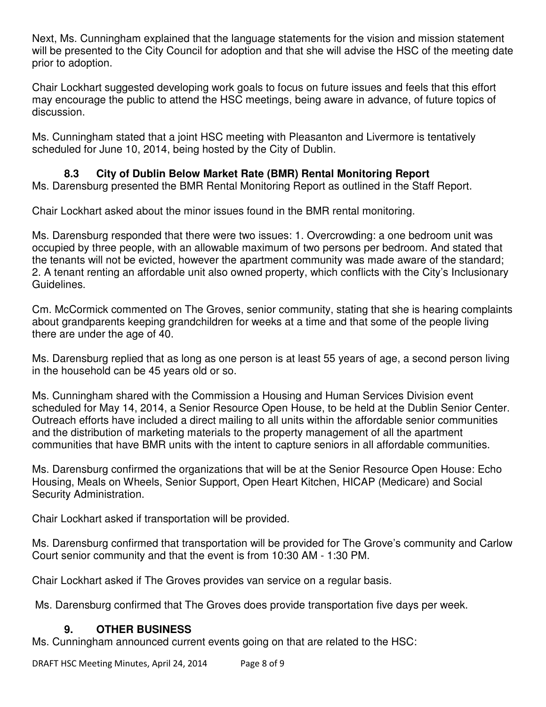Next, Ms. Cunningham explained that the language statements for the vision and mission statement will be presented to the City Council for adoption and that she will advise the HSC of the meeting date prior to adoption.

Chair Lockhart suggested developing work goals to focus on future issues and feels that this effort may encourage the public to attend the HSC meetings, being aware in advance, of future topics of discussion.

Ms. Cunningham stated that a joint HSC meeting with Pleasanton and Livermore is tentatively scheduled for June 10, 2014, being hosted by the City of Dublin.

# **8.3 City of Dublin Below Market Rate (BMR) Rental Monitoring Report**

Ms. Darensburg presented the BMR Rental Monitoring Report as outlined in the Staff Report.

Chair Lockhart asked about the minor issues found in the BMR rental monitoring.

Ms. Darensburg responded that there were two issues: 1. Overcrowding: a one bedroom unit was occupied by three people, with an allowable maximum of two persons per bedroom. And stated that the tenants will not be evicted, however the apartment community was made aware of the standard; 2. A tenant renting an affordable unit also owned property, which conflicts with the City's Inclusionary Guidelines.

Cm. McCormick commented on The Groves, senior community, stating that she is hearing complaints about grandparents keeping grandchildren for weeks at a time and that some of the people living there are under the age of 40.

Ms. Darensburg replied that as long as one person is at least 55 years of age, a second person living in the household can be 45 years old or so.

Ms. Cunningham shared with the Commission a Housing and Human Services Division event scheduled for May 14, 2014, a Senior Resource Open House, to be held at the Dublin Senior Center. Outreach efforts have included a direct mailing to all units within the affordable senior communities and the distribution of marketing materials to the property management of all the apartment communities that have BMR units with the intent to capture seniors in all affordable communities.

Ms. Darensburg confirmed the organizations that will be at the Senior Resource Open House: Echo Housing, Meals on Wheels, Senior Support, Open Heart Kitchen, HICAP (Medicare) and Social Security Administration.

Chair Lockhart asked if transportation will be provided.

Ms. Darensburg confirmed that transportation will be provided for The Grove's community and Carlow Court senior community and that the event is from 10:30 AM - 1:30 PM.

Chair Lockhart asked if The Groves provides van service on a regular basis.

Ms. Darensburg confirmed that The Groves does provide transportation five days per week.

# **9. OTHER BUSINESS**

Ms. Cunningham announced current events going on that are related to the HSC:

DRAFT HSC Meeting Minutes, April 24, 2014 Page 8 of 9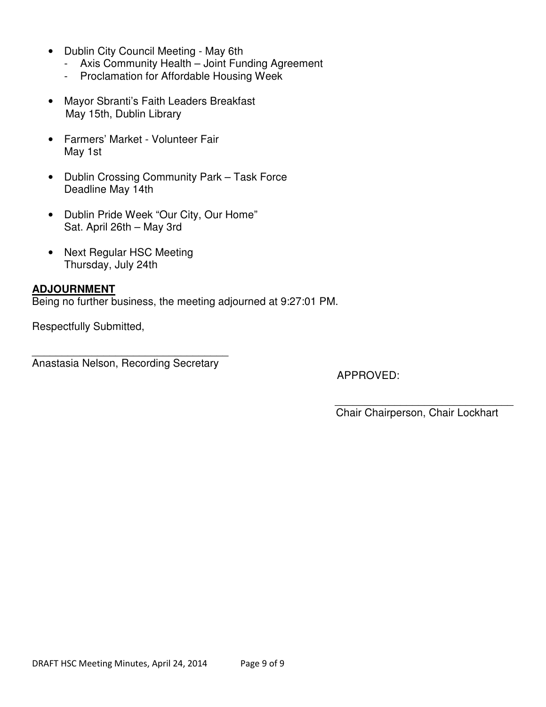- Dublin City Council Meeting May 6th
	- Axis Community Health Joint Funding Agreement
	- Proclamation for Affordable Housing Week
- Mayor Sbranti's Faith Leaders Breakfast May 15th, Dublin Library
- Farmers' Market Volunteer Fair May 1st
- Dublin Crossing Community Park Task Force Deadline May 14th
- Dublin Pride Week "Our City, Our Home" Sat. April 26th – May 3rd
- Next Regular HSC Meeting Thursday, July 24th

# **ADJOURNMENT**

Being no further business, the meeting adjourned at 9:27:01 PM.

Respectfully Submitted,

\_\_\_\_\_\_\_\_\_\_\_\_\_\_\_\_\_\_\_\_\_\_\_\_\_\_\_\_\_\_\_\_\_ Anastasia Nelson, Recording Secretary

APPROVED:

Chair Chairperson, Chair Lockhart

\_\_\_\_\_\_\_\_\_\_\_\_\_\_\_\_\_\_\_\_\_\_\_\_\_\_\_\_\_\_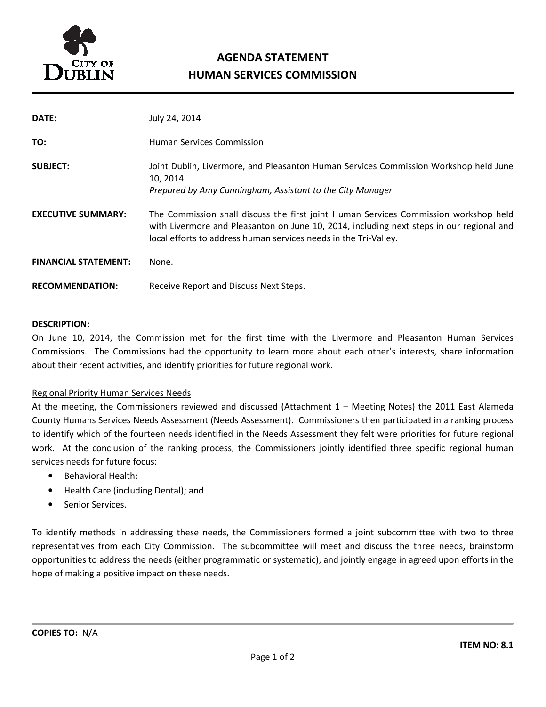

# AGENDA STATEMENT HUMAN SERVICES COMMISSION

| DATE:                       | July 24, 2014                                                                                                                                                                                                                                        |
|-----------------------------|------------------------------------------------------------------------------------------------------------------------------------------------------------------------------------------------------------------------------------------------------|
| TO:                         | <b>Human Services Commission</b>                                                                                                                                                                                                                     |
| <b>SUBJECT:</b>             | Joint Dublin, Livermore, and Pleasanton Human Services Commission Workshop held June<br>10, 2014<br>Prepared by Amy Cunningham, Assistant to the City Manager                                                                                        |
| <b>EXECUTIVE SUMMARY:</b>   | The Commission shall discuss the first joint Human Services Commission workshop held<br>with Livermore and Pleasanton on June 10, 2014, including next steps in our regional and<br>local efforts to address human services needs in the Tri-Valley. |
| <b>FINANCIAL STATEMENT:</b> | None.                                                                                                                                                                                                                                                |
| <b>RECOMMENDATION:</b>      | Receive Report and Discuss Next Steps.                                                                                                                                                                                                               |

#### DESCRIPTION:

On June 10, 2014, the Commission met for the first time with the Livermore and Pleasanton Human Services Commissions. The Commissions had the opportunity to learn more about each other's interests, share information about their recent activities, and identify priorities for future regional work.

#### Regional Priority Human Services Needs

At the meeting, the Commissioners reviewed and discussed (Attachment 1 – Meeting Notes) the 2011 East Alameda County Humans Services Needs Assessment (Needs Assessment). Commissioners then participated in a ranking process to identify which of the fourteen needs identified in the Needs Assessment they felt were priorities for future regional work. At the conclusion of the ranking process, the Commissioners jointly identified three specific regional human services needs for future focus:

- Behavioral Health;
- Health Care (including Dental); and
- Senior Services.

To identify methods in addressing these needs, the Commissioners formed a joint subcommittee with two to three representatives from each City Commission. The subcommittee will meet and discuss the three needs, brainstorm opportunities to address the needs (either programmatic or systematic), and jointly engage in agreed upon efforts in the hope of making a positive impact on these needs.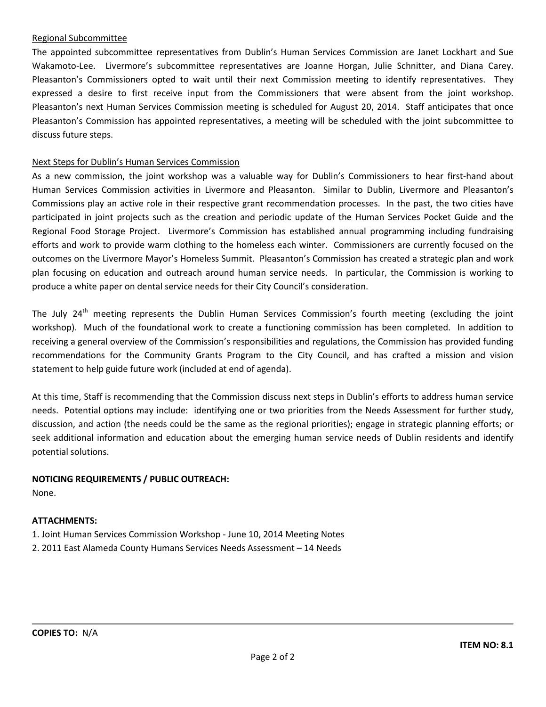#### Regional Subcommittee

The appointed subcommittee representatives from Dublin's Human Services Commission are Janet Lockhart and Sue Wakamoto-Lee. Livermore's subcommittee representatives are Joanne Horgan, Julie Schnitter, and Diana Carey. Pleasanton's Commissioners opted to wait until their next Commission meeting to identify representatives. They expressed a desire to first receive input from the Commissioners that were absent from the joint workshop. Pleasanton's next Human Services Commission meeting is scheduled for August 20, 2014. Staff anticipates that once Pleasanton's Commission has appointed representatives, a meeting will be scheduled with the joint subcommittee to discuss future steps.

#### Next Steps for Dublin's Human Services Commission

As a new commission, the joint workshop was a valuable way for Dublin's Commissioners to hear first-hand about Human Services Commission activities in Livermore and Pleasanton. Similar to Dublin, Livermore and Pleasanton's Commissions play an active role in their respective grant recommendation processes. In the past, the two cities have participated in joint projects such as the creation and periodic update of the Human Services Pocket Guide and the Regional Food Storage Project. Livermore's Commission has established annual programming including fundraising efforts and work to provide warm clothing to the homeless each winter. Commissioners are currently focused on the outcomes on the Livermore Mayor's Homeless Summit. Pleasanton's Commission has created a strategic plan and work plan focusing on education and outreach around human service needs. In particular, the Commission is working to produce a white paper on dental service needs for their City Council's consideration.

The July 24<sup>th</sup> meeting represents the Dublin Human Services Commission's fourth meeting (excluding the joint workshop). Much of the foundational work to create a functioning commission has been completed. In addition to receiving a general overview of the Commission's responsibilities and regulations, the Commission has provided funding recommendations for the Community Grants Program to the City Council, and has crafted a mission and vision statement to help guide future work (included at end of agenda).

At this time, Staff is recommending that the Commission discuss next steps in Dublin's efforts to address human service needs. Potential options may include: identifying one or two priorities from the Needs Assessment for further study, discussion, and action (the needs could be the same as the regional priorities); engage in strategic planning efforts; or seek additional information and education about the emerging human service needs of Dublin residents and identify potential solutions.

#### NOTICING REQUIREMENTS / PUBLIC OUTREACH:

None.

#### ATTACHMENTS:

- 1. Joint Human Services Commission Workshop June 10, 2014 Meeting Notes
- 2. 2011 East Alameda County Humans Services Needs Assessment 14 Needs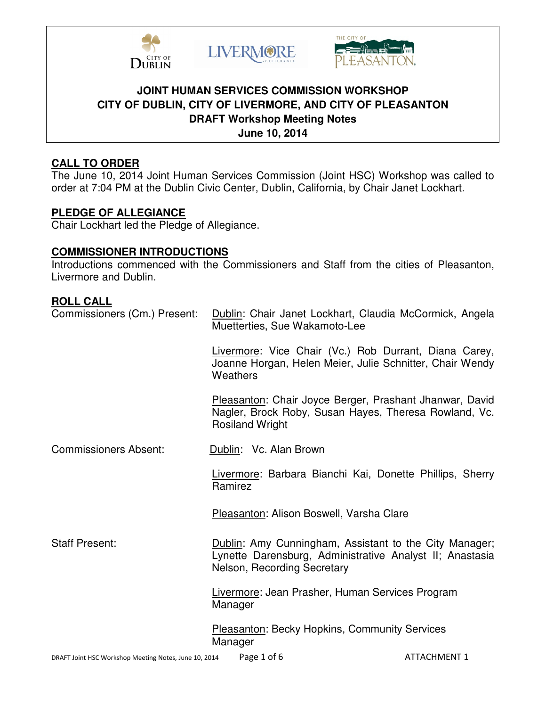





# **JOINT HUMAN SERVICES COMMISSION WORKSHOP CITY OF DUBLIN, CITY OF LIVERMORE, AND CITY OF PLEASANTON DRAFT Workshop Meeting Notes June 10, 2014**

# **CALL TO ORDER**

The June 10, 2014 Joint Human Services Commission (Joint HSC) Workshop was called to order at 7:04 PM at the Dublin Civic Center, Dublin, California, by Chair Janet Lockhart.

# **PLEDGE OF ALLEGIANCE**

Chair Lockhart led the Pledge of Allegiance.

# **COMMISSIONER INTRODUCTIONS**

Introductions commenced with the Commissioners and Staff from the cities of Pleasanton, Livermore and Dublin.

# **ROLL CALL**

| Commissioners (Cm.) Present: | Dublin: Chair Janet Lockhart, Claudia McCormick, Angela<br>Muetterties, Sue Wakamoto-Lee                                                          |  |  |
|------------------------------|---------------------------------------------------------------------------------------------------------------------------------------------------|--|--|
|                              | Livermore: Vice Chair (Vc.) Rob Durrant, Diana Carey,<br>Joanne Horgan, Helen Meier, Julie Schnitter, Chair Wendy<br>Weathers                     |  |  |
|                              | Pleasanton: Chair Joyce Berger, Prashant Jhanwar, David<br>Nagler, Brock Roby, Susan Hayes, Theresa Rowland, Vc.<br><b>Rosiland Wright</b>        |  |  |
| <b>Commissioners Absent:</b> | Dublin: Vc. Alan Brown                                                                                                                            |  |  |
|                              | Livermore: Barbara Bianchi Kai, Donette Phillips, Sherry<br>Ramirez                                                                               |  |  |
|                              | Pleasanton: Alison Boswell, Varsha Clare                                                                                                          |  |  |
| <b>Staff Present:</b>        | Dublin: Amy Cunningham, Assistant to the City Manager;<br>Lynette Darensburg, Administrative Analyst II; Anastasia<br>Nelson, Recording Secretary |  |  |
|                              | Livermore: Jean Prasher, Human Services Program<br>Manager                                                                                        |  |  |
|                              | <b>Pleasanton: Becky Hopkins, Community Services</b><br>Manager                                                                                   |  |  |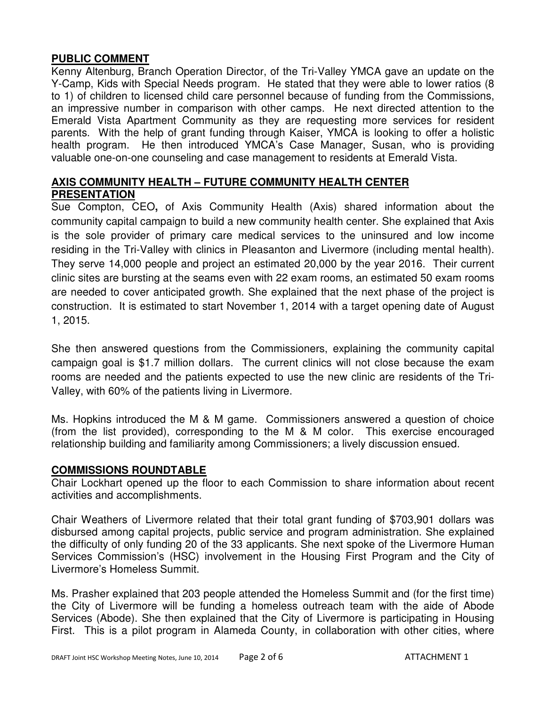# **PUBLIC COMMENT**

Kenny Altenburg, Branch Operation Director, of the Tri-Valley YMCA gave an update on the Y-Camp, Kids with Special Needs program. He stated that they were able to lower ratios (8 to 1) of children to licensed child care personnel because of funding from the Commissions, an impressive number in comparison with other camps. He next directed attention to the Emerald Vista Apartment Community as they are requesting more services for resident parents. With the help of grant funding through Kaiser, YMCA is looking to offer a holistic health program. He then introduced YMCA's Case Manager, Susan, who is providing valuable one-on-one counseling and case management to residents at Emerald Vista.

# **AXIS COMMUNITY HEALTH – FUTURE COMMUNITY HEALTH CENTER PRESENTATION**

Sue Compton, CEO**,** of Axis Community Health (Axis) shared information about the community capital campaign to build a new community health center. She explained that Axis is the sole provider of primary care medical services to the uninsured and low income residing in the Tri-Valley with clinics in Pleasanton and Livermore (including mental health). They serve 14,000 people and project an estimated 20,000 by the year 2016. Their current clinic sites are bursting at the seams even with 22 exam rooms, an estimated 50 exam rooms are needed to cover anticipated growth. She explained that the next phase of the project is construction. It is estimated to start November 1, 2014 with a target opening date of August 1, 2015.

She then answered questions from the Commissioners, explaining the community capital campaign goal is \$1.7 million dollars. The current clinics will not close because the exam rooms are needed and the patients expected to use the new clinic are residents of the Tri-Valley, with 60% of the patients living in Livermore.

Ms. Hopkins introduced the M & M game. Commissioners answered a question of choice (from the list provided), corresponding to the M & M color. This exercise encouraged relationship building and familiarity among Commissioners; a lively discussion ensued.

# **COMMISSIONS ROUNDTABLE**

Chair Lockhart opened up the floor to each Commission to share information about recent activities and accomplishments.

Chair Weathers of Livermore related that their total grant funding of \$703,901 dollars was disbursed among capital projects, public service and program administration. She explained the difficulty of only funding 20 of the 33 applicants. She next spoke of the Livermore Human Services Commission's (HSC) involvement in the Housing First Program and the City of Livermore's Homeless Summit.

Ms. Prasher explained that 203 people attended the Homeless Summit and (for the first time) the City of Livermore will be funding a homeless outreach team with the aide of Abode Services (Abode). She then explained that the City of Livermore is participating in Housing First. This is a pilot program in Alameda County, in collaboration with other cities, where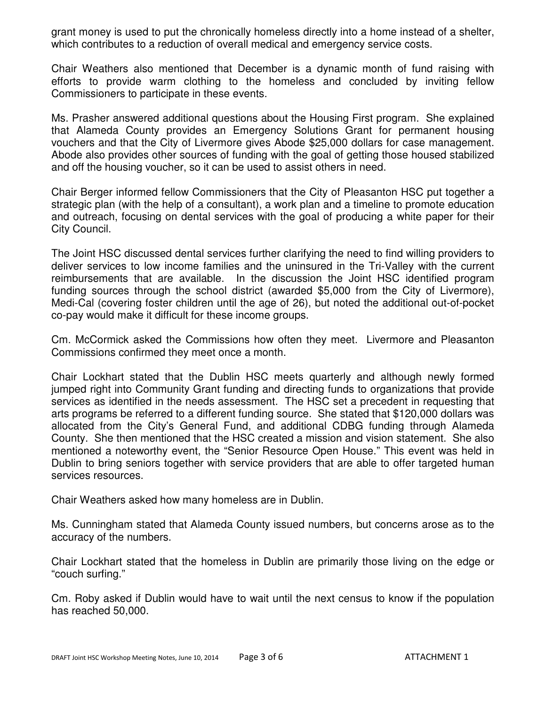grant money is used to put the chronically homeless directly into a home instead of a shelter, which contributes to a reduction of overall medical and emergency service costs.

Chair Weathers also mentioned that December is a dynamic month of fund raising with efforts to provide warm clothing to the homeless and concluded by inviting fellow Commissioners to participate in these events.

Ms. Prasher answered additional questions about the Housing First program. She explained that Alameda County provides an Emergency Solutions Grant for permanent housing vouchers and that the City of Livermore gives Abode \$25,000 dollars for case management. Abode also provides other sources of funding with the goal of getting those housed stabilized and off the housing voucher, so it can be used to assist others in need.

Chair Berger informed fellow Commissioners that the City of Pleasanton HSC put together a strategic plan (with the help of a consultant), a work plan and a timeline to promote education and outreach, focusing on dental services with the goal of producing a white paper for their City Council.

The Joint HSC discussed dental services further clarifying the need to find willing providers to deliver services to low income families and the uninsured in the Tri-Valley with the current reimbursements that are available. In the discussion the Joint HSC identified program funding sources through the school district (awarded \$5,000 from the City of Livermore), Medi-Cal (covering foster children until the age of 26), but noted the additional out-of-pocket co-pay would make it difficult for these income groups.

Cm. McCormick asked the Commissions how often they meet. Livermore and Pleasanton Commissions confirmed they meet once a month.

Chair Lockhart stated that the Dublin HSC meets quarterly and although newly formed jumped right into Community Grant funding and directing funds to organizations that provide services as identified in the needs assessment. The HSC set a precedent in requesting that arts programs be referred to a different funding source. She stated that \$120,000 dollars was allocated from the City's General Fund, and additional CDBG funding through Alameda County. She then mentioned that the HSC created a mission and vision statement. She also mentioned a noteworthy event, the "Senior Resource Open House." This event was held in Dublin to bring seniors together with service providers that are able to offer targeted human services resources.

Chair Weathers asked how many homeless are in Dublin.

Ms. Cunningham stated that Alameda County issued numbers, but concerns arose as to the accuracy of the numbers.

Chair Lockhart stated that the homeless in Dublin are primarily those living on the edge or "couch surfing."

Cm. Roby asked if Dublin would have to wait until the next census to know if the population has reached 50,000.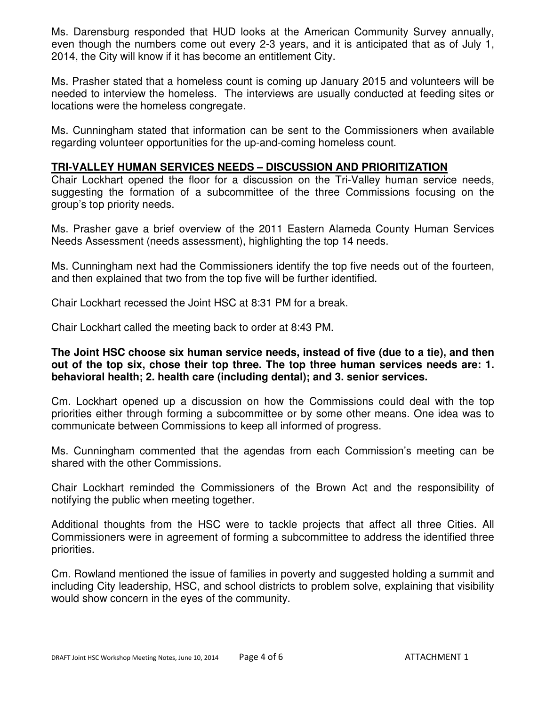Ms. Darensburg responded that HUD looks at the American Community Survey annually, even though the numbers come out every 2-3 years, and it is anticipated that as of July 1, 2014, the City will know if it has become an entitlement City.

Ms. Prasher stated that a homeless count is coming up January 2015 and volunteers will be needed to interview the homeless. The interviews are usually conducted at feeding sites or locations were the homeless congregate.

Ms. Cunningham stated that information can be sent to the Commissioners when available regarding volunteer opportunities for the up-and-coming homeless count.

#### **TRI-VALLEY HUMAN SERVICES NEEDS – DISCUSSION AND PRIORITIZATION**

Chair Lockhart opened the floor for a discussion on the Tri-Valley human service needs, suggesting the formation of a subcommittee of the three Commissions focusing on the group's top priority needs.

Ms. Prasher gave a brief overview of the 2011 Eastern Alameda County Human Services Needs Assessment (needs assessment), highlighting the top 14 needs.

Ms. Cunningham next had the Commissioners identify the top five needs out of the fourteen, and then explained that two from the top five will be further identified.

Chair Lockhart recessed the Joint HSC at 8:31 PM for a break.

Chair Lockhart called the meeting back to order at 8:43 PM.

**The Joint HSC choose six human service needs, instead of five (due to a tie), and then out of the top six, chose their top three. The top three human services needs are: 1. behavioral health; 2. health care (including dental); and 3. senior services.** 

Cm. Lockhart opened up a discussion on how the Commissions could deal with the top priorities either through forming a subcommittee or by some other means. One idea was to communicate between Commissions to keep all informed of progress.

Ms. Cunningham commented that the agendas from each Commission's meeting can be shared with the other Commissions.

Chair Lockhart reminded the Commissioners of the Brown Act and the responsibility of notifying the public when meeting together.

Additional thoughts from the HSC were to tackle projects that affect all three Cities. All Commissioners were in agreement of forming a subcommittee to address the identified three priorities.

Cm. Rowland mentioned the issue of families in poverty and suggested holding a summit and including City leadership, HSC, and school districts to problem solve, explaining that visibility would show concern in the eyes of the community.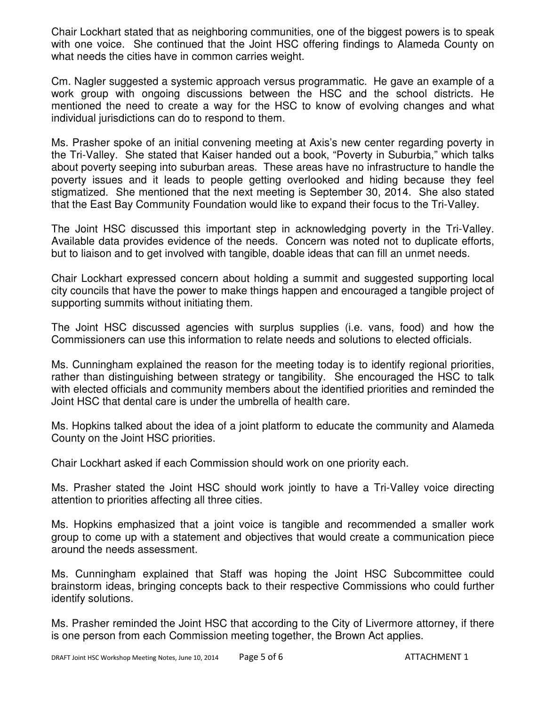Chair Lockhart stated that as neighboring communities, one of the biggest powers is to speak with one voice. She continued that the Joint HSC offering findings to Alameda County on what needs the cities have in common carries weight.

Cm. Nagler suggested a systemic approach versus programmatic. He gave an example of a work group with ongoing discussions between the HSC and the school districts. He mentioned the need to create a way for the HSC to know of evolving changes and what individual jurisdictions can do to respond to them.

Ms. Prasher spoke of an initial convening meeting at Axis's new center regarding poverty in the Tri-Valley. She stated that Kaiser handed out a book, "Poverty in Suburbia," which talks about poverty seeping into suburban areas. These areas have no infrastructure to handle the poverty issues and it leads to people getting overlooked and hiding because they feel stigmatized. She mentioned that the next meeting is September 30, 2014. She also stated that the East Bay Community Foundation would like to expand their focus to the Tri-Valley.

The Joint HSC discussed this important step in acknowledging poverty in the Tri-Valley. Available data provides evidence of the needs. Concern was noted not to duplicate efforts, but to liaison and to get involved with tangible, doable ideas that can fill an unmet needs.

Chair Lockhart expressed concern about holding a summit and suggested supporting local city councils that have the power to make things happen and encouraged a tangible project of supporting summits without initiating them.

The Joint HSC discussed agencies with surplus supplies (i.e. vans, food) and how the Commissioners can use this information to relate needs and solutions to elected officials.

Ms. Cunningham explained the reason for the meeting today is to identify regional priorities, rather than distinguishing between strategy or tangibility. She encouraged the HSC to talk with elected officials and community members about the identified priorities and reminded the Joint HSC that dental care is under the umbrella of health care.

Ms. Hopkins talked about the idea of a joint platform to educate the community and Alameda County on the Joint HSC priorities.

Chair Lockhart asked if each Commission should work on one priority each.

Ms. Prasher stated the Joint HSC should work jointly to have a Tri-Valley voice directing attention to priorities affecting all three cities.

Ms. Hopkins emphasized that a joint voice is tangible and recommended a smaller work group to come up with a statement and objectives that would create a communication piece around the needs assessment.

Ms. Cunningham explained that Staff was hoping the Joint HSC Subcommittee could brainstorm ideas, bringing concepts back to their respective Commissions who could further identify solutions.

Ms. Prasher reminded the Joint HSC that according to the City of Livermore attorney, if there is one person from each Commission meeting together, the Brown Act applies.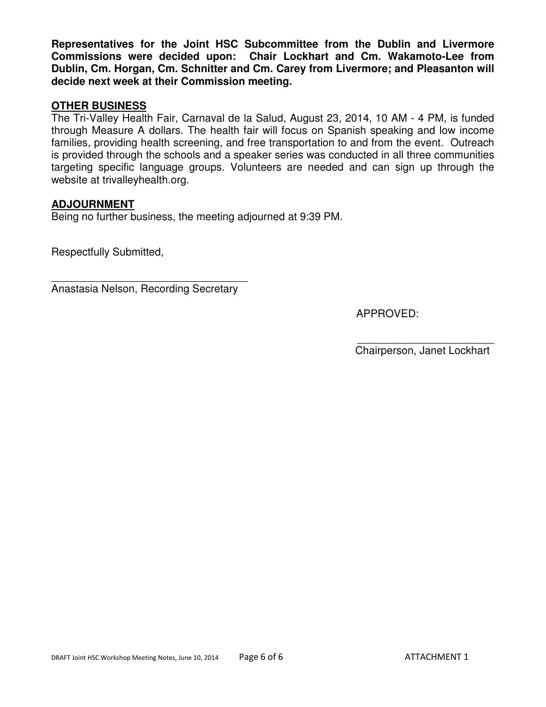**Representatives for the Joint HSC Subcommittee from the Dublin and Livermore Commissions were decided upon: Chair Lockhart and Cm. Wakamoto-Lee from Dublin, Cm. Horgan, Cm. Schnitter and Cm. Carey from Livermore; and Pleasanton will decide next week at their Commission meeting.** 

# **OTHER BUSINESS**

The Tri-Valley Health Fair, Carnaval de la Salud, August 23, 2014, 10 AM - 4 PM, is funded through Measure A dollars. The health fair will focus on Spanish speaking and low income families, providing health screening, and free transportation to and from the event. Outreach is provided through the schools and a speaker series was conducted in all three communities targeting specific language groups. Volunteers are needed and can sign up through the website at trivalleyhealth.org.

## **ADJOURNMENT**

Being no further business, the meeting adjourned at 9:39 PM.

Respectfully Submitted,

\_\_\_\_\_\_\_\_\_\_\_\_\_\_\_\_\_\_\_\_\_\_\_\_\_\_\_\_\_\_\_\_\_ Anastasia Nelson, Recording Secretary

APPROVED:

 $\overline{\phantom{a}}$  ,  $\overline{\phantom{a}}$  ,  $\overline{\phantom{a}}$  ,  $\overline{\phantom{a}}$  ,  $\overline{\phantom{a}}$  ,  $\overline{\phantom{a}}$  ,  $\overline{\phantom{a}}$  ,  $\overline{\phantom{a}}$  ,  $\overline{\phantom{a}}$  ,  $\overline{\phantom{a}}$  ,  $\overline{\phantom{a}}$  ,  $\overline{\phantom{a}}$  ,  $\overline{\phantom{a}}$  ,  $\overline{\phantom{a}}$  ,  $\overline{\phantom{a}}$  ,  $\overline{\phantom{a}}$ Chairperson, Janet Lockhart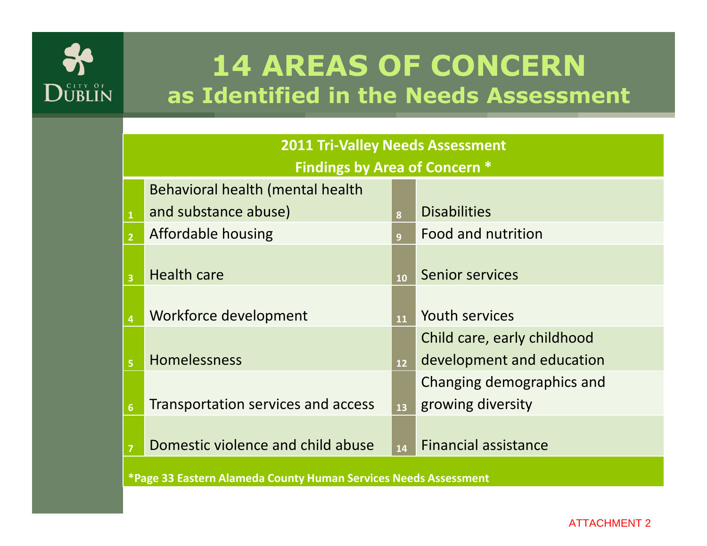

# 14 AREAS OF CONCERNas Identified in the Needs Assessment

| <b>2011 Tri-Valley Needs Assessment</b>                                  |                                    |                 |                             |  |  |  |
|--------------------------------------------------------------------------|------------------------------------|-----------------|-----------------------------|--|--|--|
| <b>Findings by Area of Concern *</b><br>Behavioral health (mental health |                                    |                 |                             |  |  |  |
| $\mathbf 1$                                                              | and substance abuse)               | 8               | <b>Disabilities</b>         |  |  |  |
| $\overline{2}$                                                           | Affordable housing                 |                 | Food and nutrition          |  |  |  |
|                                                                          |                                    | $\overline{9}$  |                             |  |  |  |
| $\overline{\mathbf{3}}$                                                  | <b>Health care</b>                 | 10              | <b>Senior services</b>      |  |  |  |
|                                                                          |                                    |                 |                             |  |  |  |
| $\overline{\mathbf{4}}$                                                  | Workforce development              | 11              | <b>Youth services</b>       |  |  |  |
|                                                                          |                                    |                 | Child care, early childhood |  |  |  |
| $\overline{\mathbf{5}}$                                                  | Homelessness                       | 12 <sup>2</sup> | development and education   |  |  |  |
|                                                                          |                                    |                 | Changing demographics and   |  |  |  |
| $6\overline{6}$                                                          | Transportation services and access | 13              | growing diversity           |  |  |  |
|                                                                          |                                    |                 |                             |  |  |  |
| $\overline{7}$                                                           | Domestic violence and child abuse  | 14              | <b>Financial assistance</b> |  |  |  |
| *Page 33 Eastern Alameda County Human Services Needs Assessment          |                                    |                 |                             |  |  |  |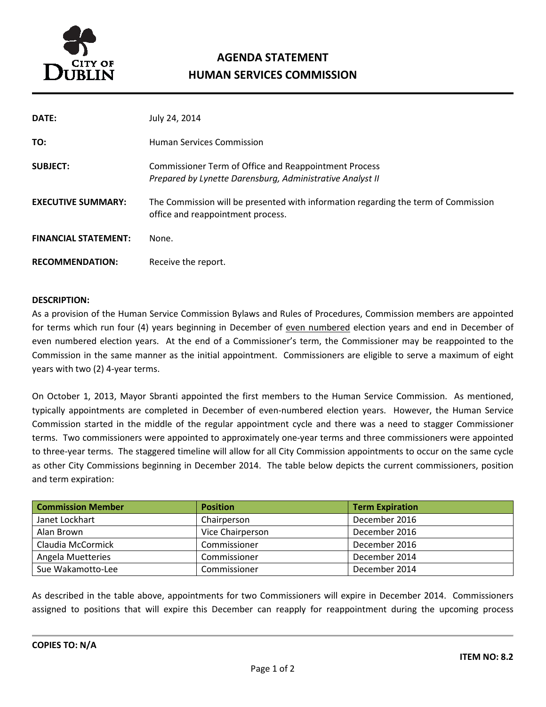

# AGENDA STATEMENT HUMAN SERVICES COMMISSION

| DATE:                       | July 24, 2014                                                                                                           |
|-----------------------------|-------------------------------------------------------------------------------------------------------------------------|
| TO:                         | <b>Human Services Commission</b>                                                                                        |
| <b>SUBJECT:</b>             | Commissioner Term of Office and Reappointment Process<br>Prepared by Lynette Darensburg, Administrative Analyst II      |
| <b>EXECUTIVE SUMMARY:</b>   | The Commission will be presented with information regarding the term of Commission<br>office and reappointment process. |
| <b>FINANCIAL STATEMENT:</b> | None.                                                                                                                   |
| <b>RECOMMENDATION:</b>      | Receive the report.                                                                                                     |

#### DESCRIPTION:

As a provision of the Human Service Commission Bylaws and Rules of Procedures, Commission members are appointed for terms which run four (4) years beginning in December of even numbered election years and end in December of even numbered election years. At the end of a Commissioner's term, the Commissioner may be reappointed to the Commission in the same manner as the initial appointment. Commissioners are eligible to serve a maximum of eight years with two (2) 4-year terms.

On October 1, 2013, Mayor Sbranti appointed the first members to the Human Service Commission. As mentioned, typically appointments are completed in December of even-numbered election years. However, the Human Service Commission started in the middle of the regular appointment cycle and there was a need to stagger Commissioner terms. Two commissioners were appointed to approximately one-year terms and three commissioners were appointed to three-year terms. The staggered timeline will allow for all City Commission appointments to occur on the same cycle as other City Commissions beginning in December 2014. The table below depicts the current commissioners, position and term expiration:

| <b>Commission Member</b> | <b>Position</b>  | <b>Term Expiration</b> |
|--------------------------|------------------|------------------------|
| Janet Lockhart           | Chairperson      | December 2016          |
| Alan Brown               | Vice Chairperson | December 2016          |
| Claudia McCormick        | Commissioner     | December 2016          |
| Angela Muetteries        | Commissioner     | December 2014          |
| Sue Wakamotto-Lee        | Commissioner     | December 2014          |

As described in the table above, appointments for two Commissioners will expire in December 2014. Commissioners assigned to positions that will expire this December can reapply for reappointment during the upcoming process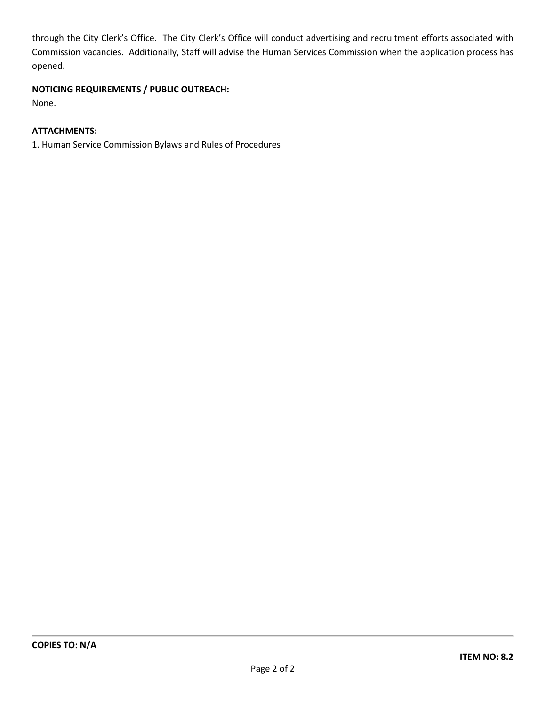through the City Clerk's Office. The City Clerk's Office will conduct advertising and recruitment efforts associated with Commission vacancies. Additionally, Staff will advise the Human Services Commission when the application process has opened.

#### NOTICING REQUIREMENTS / PUBLIC OUTREACH:

None.

#### ATTACHMENTS:

1. Human Service Commission Bylaws and Rules of Procedures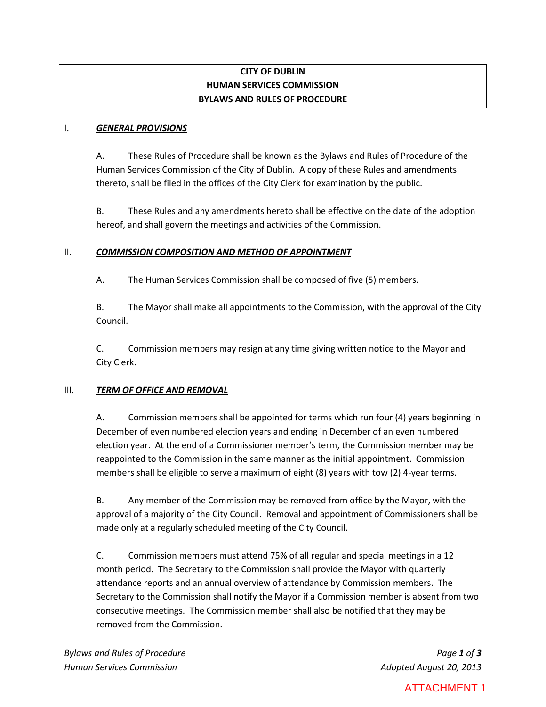# **CITY OF DUBLIN HUMAN SERVICES COMMISSION BYLAWS AND RULES OF PROCEDURE**

#### I. *GENERAL PROVISIONS*

A. These Rules of Procedure shall be known as the Bylaws and Rules of Procedure of the Human Services Commission of the City of Dublin. A copy of these Rules and amendments thereto, shall be filed in the offices of the City Clerk for examination by the public.

B. These Rules and any amendments hereto shall be effective on the date of the adoption hereof, and shall govern the meetings and activities of the Commission.

#### II. *COMMISSION COMPOSITION AND METHOD OF APPOINTMENT*

A. The Human Services Commission shall be composed of five (5) members.

B. The Mayor shall make all appointments to the Commission, with the approval of the City Council.

C. Commission members may resign at any time giving written notice to the Mayor and City Clerk.

#### III. *TERM OF OFFICE AND REMOVAL*

A. Commission members shall be appointed for terms which run four (4) years beginning in December of even numbered election years and ending in December of an even numbered election year. At the end of a Commissioner member's term, the Commission member may be reappointed to the Commission in the same manner as the initial appointment. Commission members shall be eligible to serve a maximum of eight (8) years with tow (2) 4-year terms.

B. Any member of the Commission may be removed from office by the Mayor, with the approval of a majority of the City Council. Removal and appointment of Commissioners shall be made only at a regularly scheduled meeting of the City Council.

C. Commission members must attend 75% of all regular and special meetings in a 12 month period. The Secretary to the Commission shall provide the Mayor with quarterly attendance reports and an annual overview of attendance by Commission members. The Secretary to the Commission shall notify the Mayor if a Commission member is absent from two consecutive meetings. The Commission member shall also be notified that they may be removed from the Commission.

# ATTACHMENT 1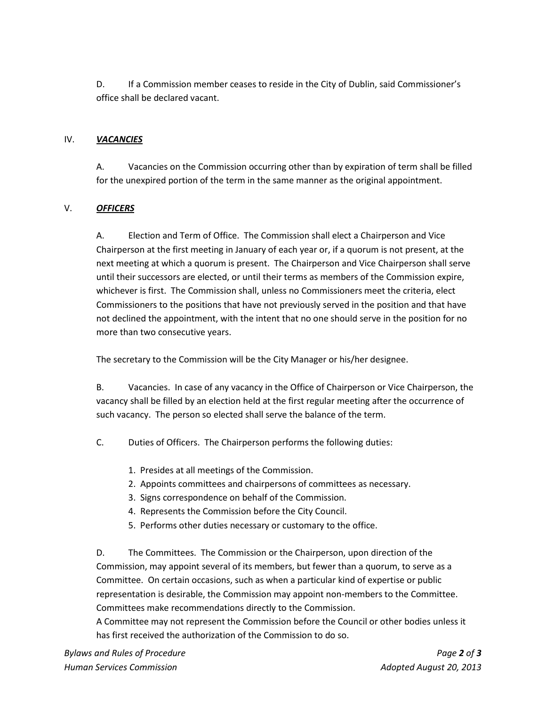D. If a Commission member ceases to reside in the City of Dublin, said Commissioner's office shall be declared vacant.

#### IV. *VACANCIES*

A. Vacancies on the Commission occurring other than by expiration of term shall be filled for the unexpired portion of the term in the same manner as the original appointment.

# V. *OFFICERS*

A. Election and Term of Office. The Commission shall elect a Chairperson and Vice Chairperson at the first meeting in January of each year or, if a quorum is not present, at the next meeting at which a quorum is present. The Chairperson and Vice Chairperson shall serve until their successors are elected, or until their terms as members of the Commission expire, whichever is first. The Commission shall, unless no Commissioners meet the criteria, elect Commissioners to the positions that have not previously served in the position and that have not declined the appointment, with the intent that no one should serve in the position for no more than two consecutive years.

The secretary to the Commission will be the City Manager or his/her designee.

B. Vacancies. In case of any vacancy in the Office of Chairperson or Vice Chairperson, the vacancy shall be filled by an election held at the first regular meeting after the occurrence of such vacancy. The person so elected shall serve the balance of the term.

C. Duties of Officers. The Chairperson performs the following duties:

- 1. Presides at all meetings of the Commission.
- 2. Appoints committees and chairpersons of committees as necessary.
- 3. Signs correspondence on behalf of the Commission.
- 4. Represents the Commission before the City Council.
- 5. Performs other duties necessary or customary to the office.

D. The Committees. The Commission or the Chairperson, upon direction of the Commission, may appoint several of its members, but fewer than a quorum, to serve as a Committee. On certain occasions, such as when a particular kind of expertise or public representation is desirable, the Commission may appoint non-members to the Committee. Committees make recommendations directly to the Commission.

A Committee may not represent the Commission before the Council or other bodies unless it has first received the authorization of the Commission to do so.